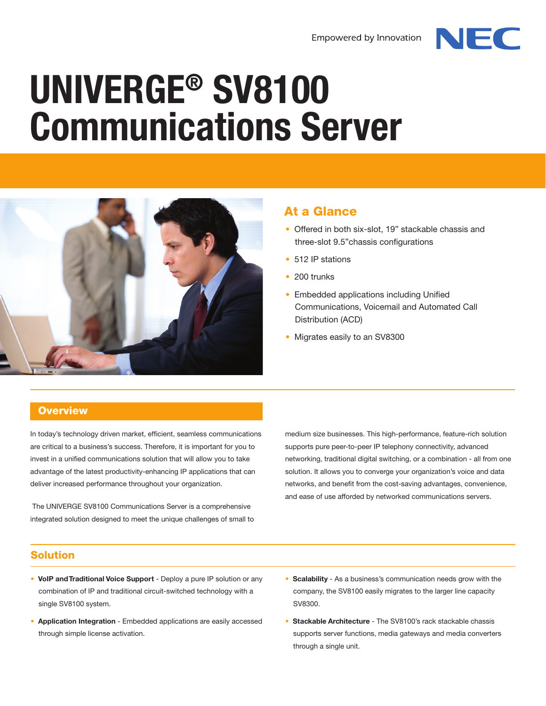

# **UNIVERGE® SV8100 Communications Server**



## At a Glance

- Offered in both six-slot, 19" stackable chassis and three-slot 9.5"chassis configurations
- 512 IP stations
- 200 trunks
- Embedded applications including Unified Communications, Voicemail and Automated Call Distribution (ACD)
- Migrates easily to an SV8300

### **Overview**

In today's technology driven market, efficient, seamless communications are critical to a business's success. Therefore, it is important for you to invest in a unified communications solution that will allow you to take advantage of the latest productivity-enhancing IP applications that can deliver increased performance throughout your organization.

 The UNIVERGE SV8100 Communications Server is a comprehensive integrated solution designed to meet the unique challenges of small to medium size businesses. This high-performance, feature-rich solution supports pure peer-to-peer IP telephony connectivity, advanced networking, traditional digital switching, or a combination - all from one solution. It allows you to converge your organization's voice and data networks, and benefit from the cost-saving advantages, convenience, and ease of use afforded by networked communications servers.

#### Solution

- **VoIP and Traditional Voice Support** Deploy a pure IP solution or any combination of IP and traditional circuit-switched technology with a single SV8100 system.
- **Application Integration** Embedded applications are easily accessed through simple license activation.
- **Scalability** As a business's communication needs grow with the company, the SV8100 easily migrates to the larger line capacity SV8300.
- **Stackable Architecture** The SV8100's rack stackable chassis supports server functions, media gateways and media converters through a single unit.